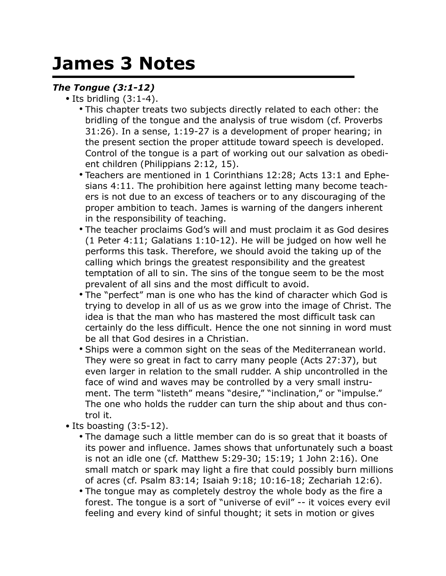## **James 3 Notes**

## *The Tongue (3:1-12)*

- Its bridling  $(3:1-4)$ .
	- This chapter treats two subjects directly related to each other: the bridling of the tongue and the analysis of true wisdom (cf. Proverbs 31:26). In a sense, 1:19-27 is a development of proper hearing; in the present section the proper attitude toward speech is developed. Control of the tongue is a part of working out our salvation as obedient children (Philippians 2:12, 15).
	- Teachers are mentioned in 1 Corinthians 12:28; Acts 13:1 and Ephesians 4:11. The prohibition here against letting many become teachers is not due to an excess of teachers or to any discouraging of the proper ambition to teach. James is warning of the dangers inherent in the responsibility of teaching.
	- The teacher proclaims God's will and must proclaim it as God desires (1 Peter 4:11; Galatians 1:10-12). He will be judged on how well he performs this task. Therefore, we should avoid the taking up of the calling which brings the greatest responsibility and the greatest temptation of all to sin. The sins of the tongue seem to be the most prevalent of all sins and the most difficult to avoid.
	- The "perfect" man is one who has the kind of character which God is trying to develop in all of us as we grow into the image of Christ. The idea is that the man who has mastered the most difficult task can certainly do the less difficult. Hence the one not sinning in word must be all that God desires in a Christian.
	- Ships were a common sight on the seas of the Mediterranean world. They were so great in fact to carry many people (Acts 27:37), but even larger in relation to the small rudder. A ship uncontrolled in the face of wind and waves may be controlled by a very small instrument. The term "listeth" means "desire," "inclination," or "impulse." The one who holds the rudder can turn the ship about and thus control it.
- Its boasting (3:5-12).
	- The damage such a little member can do is so great that it boasts of its power and influence. James shows that unfortunately such a boast is not an idle one (cf. Matthew 5:29-30; 15:19; 1 John 2:16). One small match or spark may light a fire that could possibly burn millions of acres (cf. Psalm 83:14; Isaiah 9:18; 10:16-18; Zechariah 12:6).
	- The tongue may as completely destroy the whole body as the fire a forest. The tongue is a sort of "universe of evil" -- it voices every evil feeling and every kind of sinful thought; it sets in motion or gives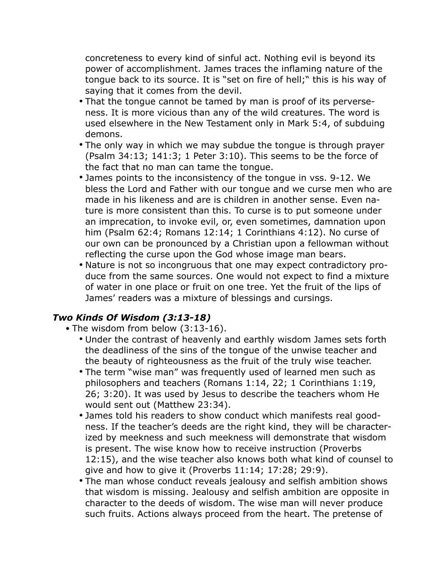concreteness to every kind of sinful act. Nothing evil is beyond its power of accomplishment. James traces the inflaming nature of the tongue back to its source. It is "set on fire of hell;" this is his way of saying that it comes from the devil.

- That the tongue cannot be tamed by man is proof of its perverseness. It is more vicious than any of the wild creatures. The word is used elsewhere in the New Testament only in Mark 5:4, of subduing demons.
- The only way in which we may subdue the tongue is through prayer (Psalm 34:13; 141:3; 1 Peter 3:10). This seems to be the force of the fact that no man can tame the tongue.
- James points to the inconsistency of the tongue in vss. 9-12. We bless the Lord and Father with our tongue and we curse men who are made in his likeness and are is children in another sense. Even nature is more consistent than this. To curse is to put someone under an imprecation, to invoke evil, or, even sometimes, damnation upon him (Psalm 62:4; Romans 12:14; 1 Corinthians 4:12). No curse of our own can be pronounced by a Christian upon a fellowman without reflecting the curse upon the God whose image man bears.
- Nature is not so incongruous that one may expect contradictory produce from the same sources. One would not expect to find a mixture of water in one place or fruit on one tree. Yet the fruit of the lips of James' readers was a mixture of blessings and cursings.

## *Two Kinds Of Wisdom (3:13-18)*

- The wisdom from below (3:13-16).
	- Under the contrast of heavenly and earthly wisdom James sets forth the deadliness of the sins of the tongue of the unwise teacher and the beauty of righteousness as the fruit of the truly wise teacher.
	- The term "wise man" was frequently used of learned men such as philosophers and teachers (Romans 1:14, 22; 1 Corinthians 1:19, 26; 3:20). It was used by Jesus to describe the teachers whom He would sent out (Matthew 23:34).
	- James told his readers to show conduct which manifests real goodness. If the teacher's deeds are the right kind, they will be characterized by meekness and such meekness will demonstrate that wisdom is present. The wise know how to receive instruction (Proverbs 12:15), and the wise teacher also knows both what kind of counsel to give and how to give it (Proverbs 11:14; 17:28; 29:9).
	- The man whose conduct reveals jealousy and selfish ambition shows that wisdom is missing. Jealousy and selfish ambition are opposite in character to the deeds of wisdom. The wise man will never produce such fruits. Actions always proceed from the heart. The pretense of